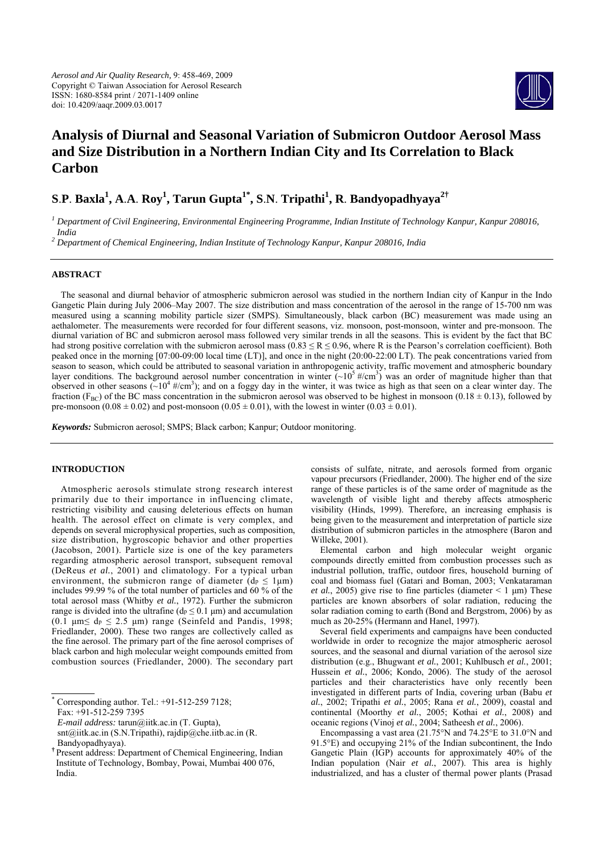

# **Analysis of Diurnal and Seasonal Variation of Submicron Outdoor Aerosol Mass and Size Distribution in a Northern Indian City and Its Correlation to Black Carbon**

# **S**.**P**. **Baxla1 , A**.**A**. **Roy1 , Tarun Gupta1\*, S**.**N**. **Tripathi<sup>1</sup> , R**. **Bandyopadhyaya2†**

*1 Department of Civil Engineering, Environmental Engineering Programme, Indian Institute of Technology Kanpur, Kanpur 208016, India* 

*2 Department of Chemical Engineering, Indian Institute of Technology Kanpur, Kanpur 208016, India* 

## **ABSTRACT**

The seasonal and diurnal behavior of atmospheric submicron aerosol was studied in the northern Indian city of Kanpur in the Indo Gangetic Plain during July 2006–May 2007. The size distribution and mass concentration of the aerosol in the range of 15-700 nm was measured using a scanning mobility particle sizer (SMPS). Simultaneously, black carbon (BC) measurement was made using an aethalometer. The measurements were recorded for four different seasons, viz. monsoon, post-monsoon, winter and pre-monsoon. The diurnal variation of BC and submicron aerosol mass followed very similar trends in all the seasons. This is evident by the fact that BC had strong positive correlation with the submicron aerosol mass ( $0.83 \le R \le 0.96$ , where R is the Pearson's correlation coefficient). Both peaked once in the morning [07:00-09:00 local time (LT)], and once in the night (20:00-22:00 LT). The peak concentrations varied from season to season, which could be attributed to seasonal variation in anthropogenic activity, traffic movement and atmospheric boundary layer conditions. The background aerosol number concentration in winter  $\left(\sim 10^5$  #/cm<sup>3</sup>) was an order of magnitude higher than that observed in other seasons  $(-10^4 \#/cm^3)$ ; and on a foggy day in the winter, it was twice as high as that seen on a clear winter day. The fraction (F<sub>BC</sub>) of the BC mass concentration in the submicron aerosol was observed to be highest in monsoon (0.18  $\pm$  0.13), followed by pre-monsoon  $(0.08 \pm 0.02)$  and post-monsoon  $(0.05 \pm 0.01)$ , with the lowest in winter  $(0.03 \pm 0.01)$ .

*Keywords:* Submicron aerosol; SMPS; Black carbon; Kanpur; Outdoor monitoring.

### **INTRODUCTION**

Atmospheric aerosols stimulate strong research interest primarily due to their importance in influencing climate, restricting visibility and causing deleterious effects on human health. The aerosol effect on climate is very complex, and depends on several microphysical properties, such as composition, size distribution, hygroscopic behavior and other properties (Jacobson, 2001). Particle size is one of the key parameters regarding atmospheric aerosol transport, subsequent removal (DeReus *et al.*, 2001) and climatology. For a typical urban environment, the submicron range of diameter  $(d_p \le 1 \mu m)$ includes 99.99 % of the total number of particles and 60 % of the total aerosol mass (Whitby *et al.*, 1972). Further the submicron range is divided into the ultrafine ( $dp \le 0.1 \mu m$ ) and accumulation (0.1  $\mu$ m $\leq$  d<sub>p</sub>  $\leq$  2.5  $\mu$ m) range (Seinfeld and Pandis, 1998; Friedlander, 2000). These two ranges are collectively called as the fine aerosol. The primary part of the fine aerosol comprises of black carbon and high molecular weight compounds emitted from combustion sources (Friedlander, 2000). The secondary part

\* Corresponding author. Tel.: +91-512-259 7128; Fax: +91-512-259 7395

consists of sulfate, nitrate, and aerosols formed from organic vapour precursors (Friedlander, 2000). The higher end of the size range of these particles is of the same order of magnitude as the wavelength of visible light and thereby affects atmospheric visibility (Hinds, 1999). Therefore, an increasing emphasis is being given to the measurement and interpretation of particle size distribution of submicron particles in the atmosphere (Baron and Willeke, 2001).

Elemental carbon and high molecular weight organic compounds directly emitted from combustion processes such as industrial pollution, traffic, outdoor fires, household burning of coal and biomass fuel (Gatari and Boman, 2003; Venkataraman *et al.*, 2005) give rise to fine particles (diameter  $\leq 1 \text{ }\mu\text{m}$ ) These particles are known absorbers of solar radiation, reducing the solar radiation coming to earth (Bond and Bergstrom, 2006) by as much as 20-25% (Hermann and Hanel, 1997).

Several field experiments and campaigns have been conducted worldwide in order to recognize the major atmospheric aerosol sources, and the seasonal and diurnal variation of the aerosol size distribution (e.g., Bhugwant *et al.*, 2001; Kuhlbusch *et al.*, 2001; Hussein *et al.*, 2006; Kondo, 2006). The study of the aerosol particles and their characteristics have only recently been investigated in different parts of India, covering urban (Babu *et al.*, 2002; Tripathi *et al.*, 2005; Rana *et al.*, 2009), coastal and continental (Moorthy *et al.*, 2005; Kothai *et al.*, 2008) and oceanic regions (Vinoj *et al.*, 2004; Satheesh *et al.*, 2006).

Encompassing a vast area (21.75°N and 74.25°E to 31.0°N and 91.5°E) and occupying 21% of the Indian subcontinent, the Indo Gangetic Plain (IGP) accounts for approximately 40% of the Indian population (Nair *et al.*, 2007). This area is highly industrialized, and has a cluster of thermal power plants (Prasad

*E-mail address:* tarun@iitk.ac.in (T. Gupta),

snt@iitk.ac.in (S.N.Tripathi), rajdip@che.iitb.ac.in (R. Bandyopadhyaya).

**<sup>†</sup>** Present address: Department of Chemical Engineering, Indian Institute of Technology, Bombay, Powai, Mumbai 400 076, India.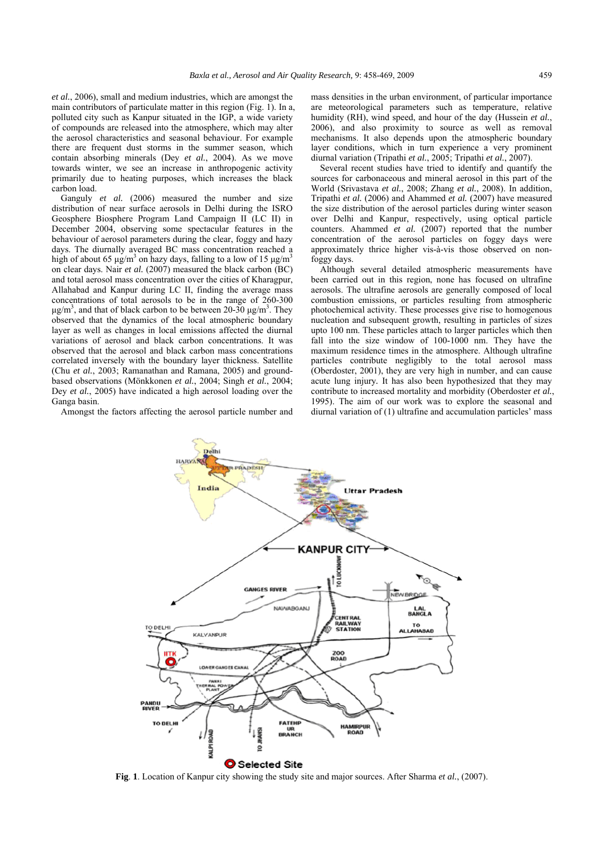*et al.*, 2006), small and medium industries, which are amongst the main contributors of particulate matter in this region (Fig. 1). In a, polluted city such as Kanpur situated in the IGP, a wide variety of compounds are released into the atmosphere, which may alter the aerosol characteristics and seasonal behaviour. For example there are frequent dust storms in the summer season, which contain absorbing minerals (Dey *et al.*, 2004). As we move towards winter, we see an increase in anthropogenic activity primarily due to heating purposes, which increases the black carbon load.

Ganguly *et al.* (2006) measured the number and size distribution of near surface aerosols in Delhi during the ISRO Geosphere Biosphere Program Land Campaign II (LC II) in December 2004, observing some spectacular features in the behaviour of aerosol parameters during the clear, foggy and hazy days. The diurnally averaged BC mass concentration reached a high of about 65  $\mu$ g/m<sup>3</sup> on hazy days, falling to a low of 15  $\mu$ g/m<sup>3</sup> on clear days. Nair *et al.* (2007) measured the black carbon (BC) and total aerosol mass concentration over the cities of Kharagpur, Allahabad and Kanpur during LC II, finding the average mass concentrations of total aerosols to be in the range of 260-300 μg/m<sup>3</sup>, and that of black carbon to be between 20-30 μg/m<sup>3</sup>. They observed that the dynamics of the local atmospheric boundary layer as well as changes in local emissions affected the diurnal variations of aerosol and black carbon concentrations. It was observed that the aerosol and black carbon mass concentrations correlated inversely with the boundary layer thickness. Satellite (Chu *et al.*, 2003; Ramanathan and Ramana, 2005) and groundbased observations (Mönkkonen *et al.*, 2004; Singh *et al.*, 2004; Dey *et al.*, 2005) have indicated a high aerosol loading over the Ganga basin.

Amongst the factors affecting the aerosol particle number and

Delhi

mass densities in the urban environment, of particular importance are meteorological parameters such as temperature, relative humidity (RH), wind speed, and hour of the day (Hussein *et al.*, 2006), and also proximity to source as well as removal mechanisms. It also depends upon the atmospheric boundary layer conditions, which in turn experience a very prominent diurnal variation (Tripathi *et al.*, 2005; Tripathi *et al.*, 2007).

Several recent studies have tried to identify and quantify the sources for carbonaceous and mineral aerosol in this part of the World (Srivastava *et al.*, 2008; Zhang *et al.*, 2008). In addition, Tripathi *et al.* (2006) and Ahammed *et al.* (2007) have measured the size distribution of the aerosol particles during winter season over Delhi and Kanpur, respectively, using optical particle counters. Ahammed *et al.* (2007) reported that the number concentration of the aerosol particles on foggy days were approximately thrice higher vis-à-vis those observed on nonfoggy days.

Although several detailed atmospheric measurements have been carried out in this region, none has focused on ultrafine aerosols. The ultrafine aerosols are generally composed of local combustion emissions, or particles resulting from atmospheric photochemical activity. These processes give rise to homogenous nucleation and subsequent growth, resulting in particles of sizes upto 100 nm. These particles attach to larger particles which then fall into the size window of 100-1000 nm. They have the maximum residence times in the atmosphere. Although ultrafine particles contribute negligibly to the total aerosol mass (Oberdoster, 2001), they are very high in number, and can cause acute lung injury*.* It has also been hypothesized that they may contribute to increased mortality and morbidity (Oberdoster *et al.*, 1995). The aim of our work was to explore the seasonal and diurnal variation of (1) ultrafine and accumulation particles' mass



**Fig**. **1**. Location of Kanpur city showing the study site and major sources. After Sharma *et al.*, (2007).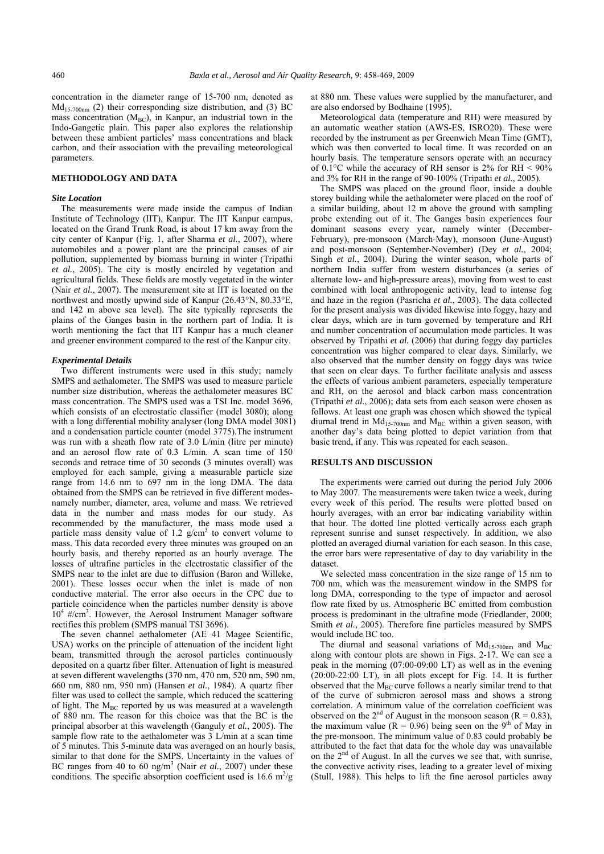concentration in the diameter range of 15-700 nm, denoted as  $Md<sub>15-700nm</sub>$  (2) their corresponding size distribution, and (3) BC mass concentration  $(M_{BC})$ , in Kanpur, an industrial town in the Indo-Gangetic plain. This paper also explores the relationship between these ambient particles' mass concentrations and black carbon, and their association with the prevailing meteorological parameters.

## **METHODOLOGY AND DATA**

#### *Site Location*

The measurements were made inside the campus of Indian Institute of Technology (IIT), Kanpur. The IIT Kanpur campus, located on the Grand Trunk Road, is about 17 km away from the city center of Kanpur (Fig. 1, after Sharma *et al.*, 2007), where automobiles and a power plant are the principal causes of air pollution, supplemented by biomass burning in winter (Tripathi *et al.*, 2005). The city is mostly encircled by vegetation and agricultural fields. These fields are mostly vegetated in the winter (Nair *et al.*, 2007). The measurement site at IIT is located on the northwest and mostly upwind side of Kanpur (26.43°N, 80.33°E, and 142 m above sea level). The site typically represents the plains of the Ganges basin in the northern part of India. It is worth mentioning the fact that IIT Kanpur has a much cleaner and greener environment compared to the rest of the Kanpur city.

## *Experimental Details*

Two different instruments were used in this study; namely SMPS and aethalometer. The SMPS was used to measure particle number size distribution, whereas the aethalometer measures BC mass concentration. The SMPS used was a TSI Inc. model 3696, which consists of an electrostatic classifier (model 3080); along with a long differential mobility analyser (long DMA model 3081) and a condensation particle counter (model 3775).The instrument was run with a sheath flow rate of 3.0 L/min (litre per minute) and an aerosol flow rate of 0.3 L/min. A scan time of 150 seconds and retrace time of 30 seconds (3 minutes overall) was employed for each sample, giving a measurable particle size range from 14.6 nm to 697 nm in the long DMA. The data obtained from the SMPS can be retrieved in five different modesnamely number, diameter, area, volume and mass. We retrieved data in the number and mass modes for our study. As recommended by the manufacturer, the mass mode used a particle mass density value of 1.2  $g/cm<sup>3</sup>$  to convert volume to mass. This data recorded every three minutes was grouped on an hourly basis, and thereby reported as an hourly average. The losses of ultrafine particles in the electrostatic classifier of the SMPS near to the inlet are due to diffusion (Baron and Willeke, 2001). These losses occur when the inlet is made of non conductive material. The error also occurs in the CPC due to particle coincidence when the particles number density is above  $10^4$  #/cm<sup>3</sup>. However, the Aerosol Instrument Manager software rectifies this problem (SMPS manual TSI 3696).

The seven channel aethalometer (AE 41 Magee Scientific, USA) works on the principle of attenuation of the incident light beam, transmitted through the aerosol particles continuously deposited on a quartz fiber filter. Attenuation of light is measured at seven different wavelengths (370 nm, 470 nm, 520 nm, 590 nm, 660 nm, 880 nm, 950 nm) (Hansen *et al.*, 1984). A quartz fiber filter was used to collect the sample, which reduced the scattering of light. The  $M<sub>BC</sub>$  reported by us was measured at a wavelength of 880 nm. The reason for this choice was that the BC is the principal absorber at this wavelength (Ganguly *et al.*, 2005). The sample flow rate to the aethalometer was 3 L/min at a scan time of 5 minutes. This 5-minute data was averaged on an hourly basis, similar to that done for the SMPS. Uncertainty in the values of BC ranges from 40 to 60 ng/m<sup>3</sup> (Nair *et al.*, 2007) under these conditions. The specific absorption coefficient used is  $16.6 \text{ m}^2/\text{g}$ 

at 880 nm. These values were supplied by the manufacturer, and are also endorsed by Bodhaine (1995).

Meteorological data (temperature and RH) were measured by an automatic weather station (AWS-ES, ISRO20). These were recorded by the instrument as per Greenwich Mean Time (GMT), which was then converted to local time. It was recorded on an hourly basis. The temperature sensors operate with an accuracy of  $0.1^{\circ}$ C while the accuracy of RH sensor is 2% for RH < 90% and 3% for RH in the range of 90-100% (Tripathi *et al.*, 2005).

The SMPS was placed on the ground floor, inside a double storey building while the aethalometer were placed on the roof of a similar building, about 12 m above the ground with sampling probe extending out of it. The Ganges basin experiences four dominant seasons every year, namely winter (December-February), pre-monsoon (March-May), monsoon (June-August) and post-monsoon (September-November) (Dey *et al.*, 2004; Singh *et al.*, 2004). During the winter season, whole parts of northern India suffer from western disturbances (a series of alternate low- and high-pressure areas), moving from west to east combined with local anthropogenic activity, lead to intense fog and haze in the region (Pasricha *et al.*, 2003). The data collected for the present analysis was divided likewise into foggy, hazy and clear days, which are in turn governed by temperature and RH and number concentration of accumulation mode particles. It was observed by Tripathi *et al.* (2006) that during foggy day particles concentration was higher compared to clear days. Similarly, we also observed that the number density on foggy days was twice that seen on clear days. To further facilitate analysis and assess the effects of various ambient parameters, especially temperature and RH, on the aerosol and black carbon mass concentration (Tripathi *et al.*, 2006); data sets from each season were chosen as follows. At least one graph was chosen which showed the typical diurnal trend in  $Md_{15-700nm}$  and  $M_{BC}$  within a given season, with another day's data being plotted to depict variation from that basic trend, if any. This was repeated for each season.

## **RESULTS AND DISCUSSION**

The experiments were carried out during the period July 2006 to May 2007. The measurements were taken twice a week, during every week of this period. The results were plotted based on hourly averages, with an error bar indicating variability within that hour. The dotted line plotted vertically across each graph represent sunrise and sunset respectively. In addition, we also plotted an averaged diurnal variation for each season. In this case, the error bars were representative of day to day variability in the dataset.

We selected mass concentration in the size range of 15 nm to 700 nm, which was the measurement window in the SMPS for long DMA, corresponding to the type of impactor and aerosol flow rate fixed by us. Atmospheric BC emitted from combustion process is predominant in the ultrafine mode (Friedlander, 2000; Smith *et al.*, 2005). Therefore fine particles measured by SMPS would include BC too.

The diurnal and seasonal variations of  $Md_{15-700nm}$  and  $M_{BC}$ along with contour plots are shown in Figs. 2-17. We can see a peak in the morning (07:00-09:00 LT) as well as in the evening  $(20:00-22:00$  LT), in all plots except for Fig. 14. It is further observed that the  $M<sub>BC</sub>$  curve follows a nearly similar trend to that of the curve of submicron aerosol mass and shows a strong correlation. A minimum value of the correlation coefficient was observed on the 2<sup>nd</sup> of August in the monsoon season (R = 0.83), the maximum value ( $R = 0.96$ ) being seen on the 9<sup>th</sup> of May in the pre-monsoon. The minimum value of 0.83 could probably be attributed to the fact that data for the whole day was unavailable on the  $2<sup>nd</sup>$  of August. In all the curves we see that, with sunrise, the convective activity rises, leading to a greater level of mixing (Stull, 1988). This helps to lift the fine aerosol particles away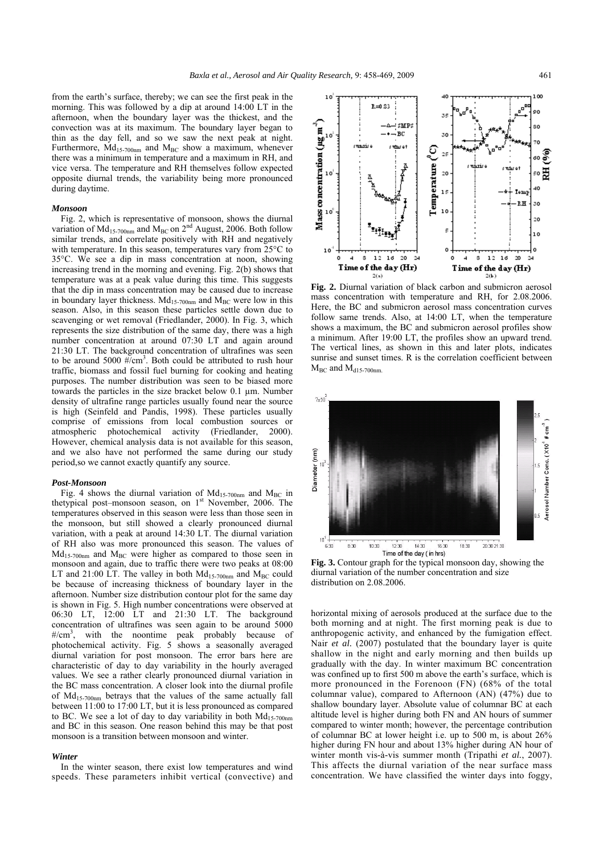10

from the earth's surface, thereby; we can see the first peak in the morning. This was followed by a dip at around 14:00 LT in the afternoon, when the boundary layer was the thickest, and the convection was at its maximum. The boundary layer began to thin as the day fell, and so we saw the next peak at night. Furthermore,  $Md_{15-700nm}$  and  $M_{BC}$  show a maximum, whenever there was a minimum in temperature and a maximum in RH, and vice versa. The temperature and RH themselves follow expected opposite diurnal trends, the variability being more pronounced during daytime.

## *Monsoon*

Fig. 2, which is representative of monsoon, shows the diurnal variation of  $Md_{15-700nm}$  and  $M_{BC}$  on  $2^{nd}$  August, 2006. Both follow similar trends, and correlate positively with RH and negatively with temperature. In this season, temperatures vary from 25°C to 35°C. We see a dip in mass concentration at noon, showing increasing trend in the morning and evening. Fig. 2(b) shows that temperature was at a peak value during this time. This suggests that the dip in mass concentration may be caused due to increase in boundary layer thickness.  $Md_{15-700nm}$  and  $M_{BC}$  were low in this season. Also, in this season these particles settle down due to scavenging or wet removal (Friedlander, 2000). In Fig. 3, which represents the size distribution of the same day, there was a high number concentration at around 07:30 LT and again around 21:30 LT. The background concentration of ultrafines was seen to be around 5000  $\frac{H}{cm^3}$ . Both could be attributed to rush hour traffic, biomass and fossil fuel burning for cooking and heating purposes. The number distribution was seen to be biased more towards the particles in the size bracket below 0.1 µm. Number density of ultrafine range particles usually found near the source is high (Seinfeld and Pandis, 1998). These particles usually comprise of emissions from local combustion sources or atmospheric photochemical activity (Friedlander, 2000). However, chemical analysis data is not available for this season, and we also have not performed the same during our study period,so we cannot exactly quantify any source.

## *Post-Monsoon*

Fig. 4 shows the diurnal variation of  $Md_{15-700nm}$  and  $M_{BC}$  in thetypical post-monsoon season, on  $1<sup>st</sup>$  November, 2006. The temperatures observed in this season were less than those seen in the monsoon, but still showed a clearly pronounced diurnal variation, with a peak at around 14:30 LT. The diurnal variation of RH also was more pronounced this season. The values of  $Md<sub>15-700nm</sub>$  and  $M<sub>BC</sub>$  were higher as compared to those seen in monsoon and again, due to traffic there were two peaks at 08:00 LT and 21:00 LT. The valley in both  $Md_{15-700nm}$  and  $M_{BC}$  could be because of increasing thickness of boundary layer in the afternoon. Number size distribution contour plot for the same day is shown in Fig. 5. High number concentrations were observed at 06:30 LT, 12:00 LT and 21:30 LT. The background concentration of ultrafines was seen again to be around 5000 #/cm<sup>3</sup>, with the noontime peak probably because of photochemical activity. Fig. 5 shows a seasonally averaged diurnal variation for post monsoon. The error bars here are characteristic of day to day variability in the hourly averaged values. We see a rather clearly pronounced diurnal variation in the BC mass concentration. A closer look into the diurnal profile of Md15-700nm betrays that the values of the same actually fall between 11:00 to 17:00 LT, but it is less pronounced as compared to BC. We see a lot of day to day variability in both  $Md_{15-700nm}$ and BC in this season. One reason behind this may be that post monsoon is a transition between monsoon and winter.

#### *Winter*

In the winter season, there exist low temperatures and wind speeds. These parameters inhibit vertical (convective) and

 $R = 0.33$ or  $\mathbf{z}$ Mass concentration ( $\mu$ g m $^3$ ) SMP: sc вc 10 30 ينسبون  $Temperature<sup>n</sup>(C)$  $\alpha$ 띉 10 20 40  $15$ Tен . R H 30 10 10  $\overline{20}$ 10 10 o 4 s 12 16 20 s  $12 - 16$  $\infty$ 24 Time of the day (Hr) Time of the day (Hr)  $2(b)$  $2(a)$ **Fig. 2.** Diurnal variation of black carbon and submicron aerosol

mass concentration with temperature and RH, for 2.08.2006. Here, the BC and submicron aerosol mass concentration curves follow same trends. Also, at 14:00 LT, when the temperature shows a maximum, the BC and submicron aerosol profiles show a minimum. After 19:00 LT, the profiles show an upward trend. The vertical lines, as shown in this and later plots, indicates sunrise and sunset times. R is the correlation coefficient between  $M_{BC}$  and  $M_{d15-700nm}$ 



**Fig. 3.** Contour graph for the typical monsoon day, showing the diurnal variation of the number concentration and size distribution on 2.08.2006.

horizontal mixing of aerosols produced at the surface due to the both morning and at night. The first morning peak is due to anthropogenic activity, and enhanced by the fumigation effect. Nair *et al.* (2007) postulated that the boundary layer is quite shallow in the night and early morning and then builds up gradually with the day. In winter maximum BC concentration was confined up to first 500 m above the earth's surface, which is more pronounced in the Forenoon (FN) (68% of the total columnar value), compared to Afternoon (AN) (47%) due to shallow boundary layer. Absolute value of columnar BC at each altitude level is higher during both FN and AN hours of summer compared to winter month; however, the percentage contribution of columnar BC at lower height i.e. up to 500 m, is about 26% higher during FN hour and about 13% higher during AN hour of winter month vis-à-vis summer month (Tripathi *et al.*, 2007). This affects the diurnal variation of the near surface mass concentration. We have classified the winter days into foggy,

100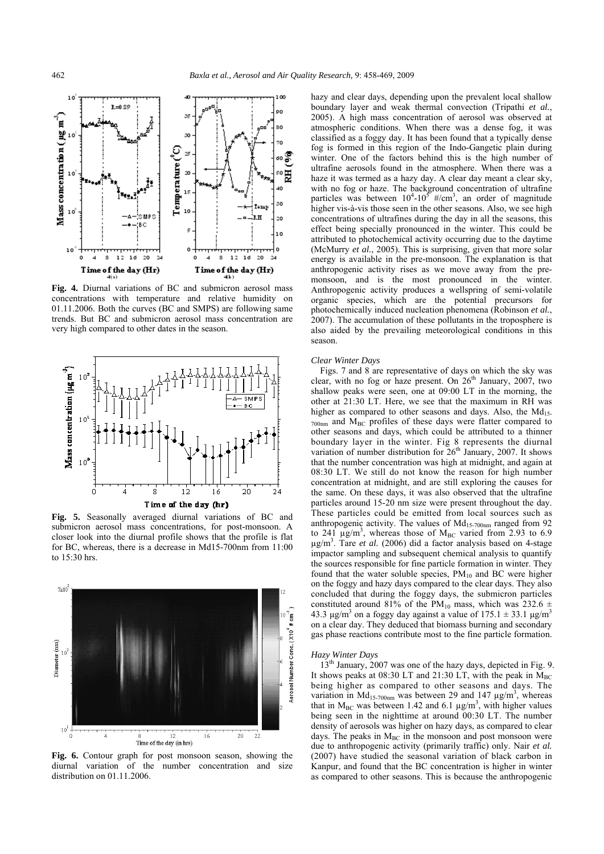

**Fig. 4.** Diurnal variations of BC and submicron aerosol mass concentrations with temperature and relative humidity on 01.11.2006. Both the curves (BC and SMPS) are following same trends. But BC and submicron aerosol mass concentration are very high compared to other dates in the season.



**Fig. 5.** Seasonally averaged diurnal variations of BC and submicron aerosol mass concentrations, for post-monsoon. A closer look into the diurnal profile shows that the profile is flat for BC, whereas, there is a decrease in Md15-700nm from 11:00 to 15:30 hrs.



**Fig. 6.** Contour graph for post monsoon season, showing the diurnal variation of the number concentration and size distribution on 01.11.2006.

hazy and clear days, depending upon the prevalent local shallow boundary layer and weak thermal convection (Tripathi *et al.*, 2005). A high mass concentration of aerosol was observed at atmospheric conditions. When there was a dense fog, it was classified as a foggy day. It has been found that a typically dense fog is formed in this region of the Indo-Gangetic plain during winter. One of the factors behind this is the high number of ultrafine aerosols found in the atmosphere. When there was a haze it was termed as a hazy day. A clear day meant a clear sky, with no fog or haze. The background concentration of ultrafine particles was between  $10^4$ - $10^5$  #/cm<sup>3</sup>, an order of magnitude higher vis-à-vis those seen in the other seasons. Also, we see high concentrations of ultrafines during the day in all the seasons, this effect being specially pronounced in the winter. This could be attributed to photochemical activity occurring due to the daytime (McMurry *et al.*, 2005). This is surprising, given that more solar energy is available in the pre-monsoon. The explanation is that anthropogenic activity rises as we move away from the premonsoon, and is the most pronounced in the winter. Anthropogenic activity produces a wellspring of semi-volatile organic species, which are the potential precursors for photochemically induced nucleation phenomena (Robinson *et al.*, 2007). The accumulation of these pollutants in the troposphere is also aided by the prevailing meteorological conditions in this season.

#### *Clear Winter Days*

Figs. 7 and 8 are representative of days on which the sky was clear, with no fog or haze present. On  $26<sup>th</sup>$  January, 2007, two shallow peaks were seen, one at 09:00 LT in the morning, the other at 21:30 LT. Here, we see that the maximum in RH was higher as compared to other seasons and days. Also, the  $Md_{15}$ - $_{700nm}$  and  $M_{BC}$  profiles of these days were flatter compared to other seasons and days, which could be attributed to a thinner boundary layer in the winter. Fig 8 represents the diurnal variation of number distribution for  $26<sup>th</sup>$  January, 2007. It shows that the number concentration was high at midnight, and again at 08:30 LT. We still do not know the reason for high number concentration at midnight, and are still exploring the causes for the same. On these days, it was also observed that the ultrafine particles around 15-20 nm size were present throughout the day. These particles could be emitted from local sources such as anthropogenic activity. The values of  $Md_{15-700nm}$  ranged from 92 to 241  $\mu$ g/m<sup>3</sup>, whereas those of M<sub>BC</sub> varied from 2.93 to 6.9 µg/m3 . Tare *et al.* (2006) did a factor analysis based on 4-stage impactor sampling and subsequent chemical analysis to quantify the sources responsible for fine particle formation in winter. They found that the water soluble species,  $PM_{10}$  and BC were higher on the foggy and hazy days compared to the clear days. They also concluded that during the foggy days, the submicron particles constituted around 81% of the PM<sub>10</sub> mass, which was 232.6  $\pm$ 43.3 μg/m<sup>3</sup> on a foggy day against a value of  $175.1 \pm 33.1$  μg/m<sup>3</sup> on a clear day. They deduced that biomass burning and secondary gas phase reactions contribute most to the fine particle formation.

## *Hazy Winter Days*

13<sup>th</sup> January, 2007 was one of the hazy days, depicted in Fig. 9. It shows peaks at 08:30 LT and 21:30 LT, with the peak in  $M_{BC}$ being higher as compared to other seasons and days. The variation in  $Md_{15-700nm}$  was between 29 and 147  $\mu$ g/m<sup>3</sup>, whereas that in  $M_{BC}$  was between 1.42 and 6.1  $\mu g/m^3$ , with higher values being seen in the nighttime at around 00:30 LT. The number density of aerosols was higher on hazy days, as compared to clear days. The peaks in  $M_{BC}$  in the monsoon and post monsoon were due to anthropogenic activity (primarily traffic) only. Nair *et al.* (2007) have studied the seasonal variation of black carbon in Kanpur, and found that the BC concentration is higher in winter as compared to other seasons. This is because the anthropogenic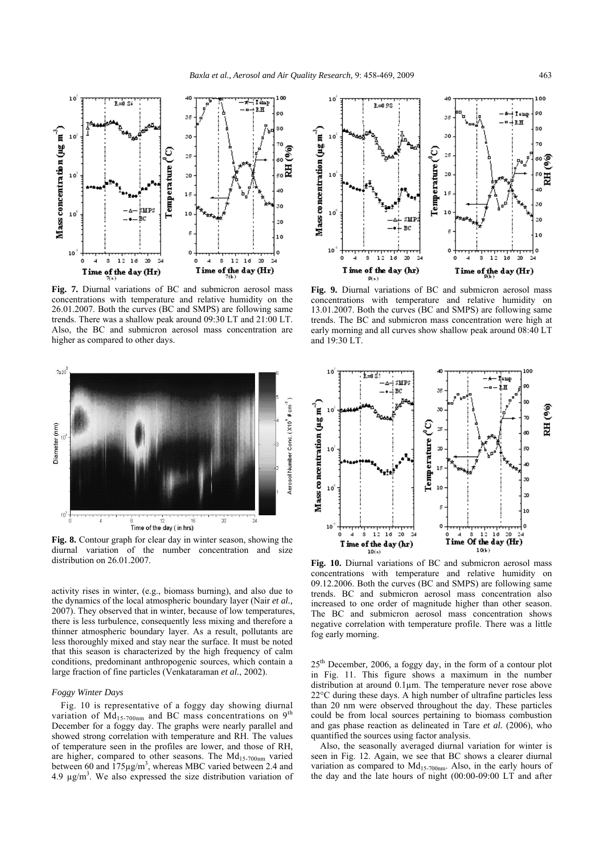

**Fig. 7.** Diurnal variations of BC and submicron aerosol mass concentrations with temperature and relative humidity on the 26.01.2007. Both the curves (BC and SMPS) are following same trends. There was a shallow peak around 09:30 LT and 21:00 LT. Also, the BC and submicron aerosol mass concentration are higher as compared to other days.



**Fig. 8.** Contour graph for clear day in winter season, showing the diurnal variation of the number concentration and size distribution on 26.01.2007.

activity rises in winter, (e.g., biomass burning), and also due to the dynamics of the local atmospheric boundary layer (Nair *et al.,* 2007). They observed that in winter, because of low temperatures, there is less turbulence, consequently less mixing and therefore a thinner atmospheric boundary layer. As a result, pollutants are less thoroughly mixed and stay near the surface. It must be noted that this season is characterized by the high frequency of calm conditions, predominant anthropogenic sources, which contain a large fraction of fine particles (Venkataraman *et al.*, 2002).

## *Foggy Winter Days*

Fig. 10 is representative of a foggy day showing diurnal variation of  $\overline{Md}_{15-700nm}$  and BC mass concentrations on 9<sup>th</sup> December for a foggy day. The graphs were nearly parallel and showed strong correlation with temperature and RH. The values of temperature seen in the profiles are lower, and those of RH, are higher, compared to other seasons. The  $Md_{15-700nm}$  varied between 60 and  $175\mu g/m^3$ , whereas MBC varied between 2.4 and  $4.9 \mu g/m<sup>3</sup>$ . We also expressed the size distribution variation of



**Fig. 9.** Diurnal variations of BC and submicron aerosol mass concentrations with temperature and relative humidity on 13.01.2007. Both the curves (BC and SMPS) are following same trends. The BC and submicron mass concentration were high at early morning and all curves show shallow peak around 08:40 LT and 19:30 LT.



**Fig. 10.** Diurnal variations of BC and submicron aerosol mass concentrations with temperature and relative humidity on 09.12.2006. Both the curves (BC and SMPS) are following same trends. BC and submicron aerosol mass concentration also increased to one order of magnitude higher than other season. The BC and submicron aerosol mass concentration shows negative correlation with temperature profile. There was a little fog early morning.

 $25<sup>th</sup>$  December, 2006, a foggy day, in the form of a contour plot in Fig. 11. This figure shows a maximum in the number distribution at around 0.1µm. The temperature never rose above 22°C during these days. A high number of ultrafine particles less than 20 nm were observed throughout the day. These particles could be from local sources pertaining to biomass combustion and gas phase reaction as delineated in Tare *et al.* (2006), who quantified the sources using factor analysis.

Also, the seasonally averaged diurnal variation for winter is seen in Fig. 12. Again, we see that BC shows a clearer diurnal variation as compared to  $Md<sub>15-700nm</sub>$ . Also, in the early hours of the day and the late hours of night (00:00-09:00 LT and after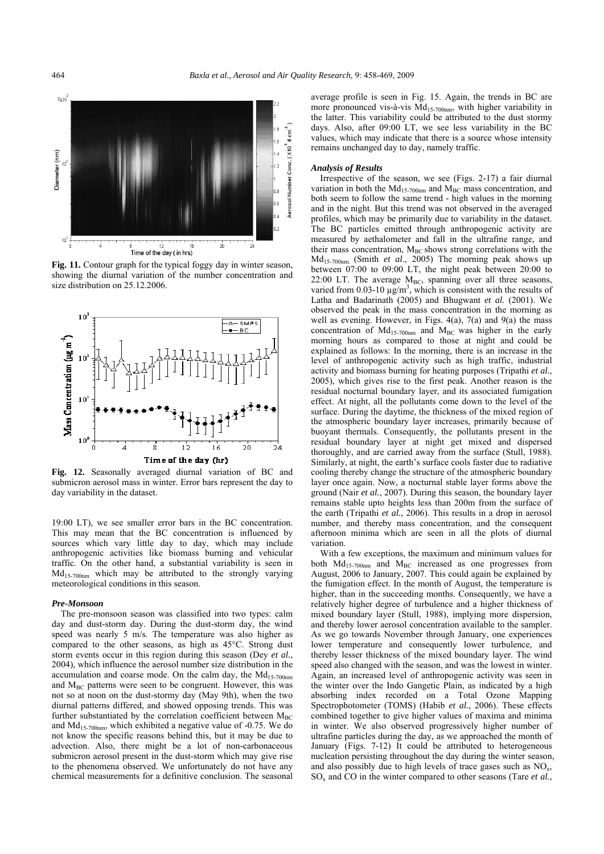

Fig. 11. Contour graph for the typical foggy day in winter season, showing the diurnal variation of the number concentration and size distribution on 25.12.2006.



**Fig. 12.** Seasonally averaged diurnal variation of BC and submicron aerosol mass in winter. Error bars represent the day to day variability in the dataset.

19:00 LT), we see smaller error bars in the BC concentration. This may mean that the BC concentration is influenced by sources which vary little day to day, which may include anthropogenic activities like biomass burning and vehicular traffic. On the other hand, a substantial variability is seen in  $Md_{15-700nm}$  which may be attributed to the strongly varying meteorological conditions in this season.

## *Pre-Monsoon*

The pre-monsoon season was classified into two types: calm day and dust-storm day. During the dust-storm day, the wind speed was nearly 5 m/s. The temperature was also higher as compared to the other seasons, as high as 45°C. Strong dust storm events occur in this region during this season (Dey *et al.*, 2004), which influence the aerosol number size distribution in the accumulation and coarse mode. On the calm day, the  $Md<sub>15-700nm</sub>$ and  $M<sub>BC</sub>$  patterns were seen to be congruent. However, this was not so at noon on the dust-stormy day (May 9th), when the two diurnal patterns differed, and showed opposing trends. This was further substantiated by the correlation coefficient between  $M_{BC}$ and  $Md<sub>15-700nm</sub>$ , which exhibited a negative value of -0.75. We do not know the specific reasons behind this, but it may be due to advection. Also, there might be a lot of non-carbonaceous submicron aerosol present in the dust-storm which may give rise to the phenomena observed. We unfortunately do not have any chemical measurements for a definitive conclusion. The seasonal

average profile is seen in Fig. 15. Again, the trends in BC are more pronounced vis-à-vis  $Md<sub>15-700nm</sub>$ , with higher variability in the latter. This variability could be attributed to the dust stormy days. Also, after 09:00 LT, we see less variability in the BC values, which may indicate that there is a source whose intensity remains unchanged day to day, namely traffic.

#### *Analysis of Results*

Irrespective of the season, we see (Figs. 2-17) a fair diurnal variation in both the  $Md<sub>15-700nm</sub>$  and  $M<sub>BC</sub>$  mass concentration, and both seem to follow the same trend - high values in the morning and in the night. But this trend was not observed in the averaged profiles, which may be primarily due to variability in the dataset. The BC particles emitted through anthropogenic activity are measured by aethalometer and fall in the ultrafine range, and their mass concentration,  $M_{BC}$  shows strong correlations with the Md15-700nm. (Smith *et al*., 2005) The morning peak shows up between 07:00 to 09:00 LT, the night peak between 20:00 to 22:00 LT. The average  $M_{BC}$ , spanning over all three seasons, varied from 0.03-10  $\mu$ g/m<sup>3</sup>, which is consistent with the results of Latha and Badarinath (2005) and Bhugwant *et al.* (2001). We observed the peak in the mass concentration in the morning as well as evening. However, in Figs. 4(a), 7(a) and 9(a) the mass concentration of  $Md_{15-700nm}$  and  $M_{BC}$  was higher in the early morning hours as compared to those at night and could be explained as follows: In the morning, there is an increase in the level of anthropogenic activity such as high traffic, industrial activity and biomass burning for heating purposes (Tripathi *et al.*, 2005), which gives rise to the first peak. Another reason is the residual nocturnal boundary layer, and its associated fumigation effect. At night, all the pollutants come down to the level of the surface. During the daytime, the thickness of the mixed region of the atmospheric boundary layer increases, primarily because of buoyant thermals. Consequently, the pollutants present in the residual boundary layer at night get mixed and dispersed thoroughly, and are carried away from the surface (Stull, 1988). Similarly, at night, the earth's surface cools faster due to radiative cooling thereby change the structure of the atmospheric boundary layer once again. Now, a nocturnal stable layer forms above the ground (Nair *et al.*, 2007). During this season, the boundary layer remains stable upto heights less than 200m from the surface of the earth (Tripathi *et al.*, 2006). This results in a drop in aerosol number, and thereby mass concentration, and the consequent afternoon minima which are seen in all the plots of diurnal variation.

With a few exceptions, the maximum and minimum values for both  $Md_{15-700nm}$  and  $M_{BC}$  increased as one progresses from August, 2006 to January, 2007. This could again be explained by the fumigation effect. In the month of August, the temperature is higher, than in the succeeding months. Consequently, we have a relatively higher degree of turbulence and a higher thickness of mixed boundary layer (Stull, 1988), implying more dispersion, and thereby lower aerosol concentration available to the sampler. As we go towards November through January, one experiences lower temperature and consequently lower turbulence, and thereby lesser thickness of the mixed boundary layer. The wind speed also changed with the season, and was the lowest in winter. Again, an increased level of anthropogenic activity was seen in the winter over the Indo Gangetic Plain, as indicated by a high absorbing index recorded on a Total Ozone Mapping Spectrophotometer (TOMS) (Habib *et al.*, 2006). These effects combined together to give higher values of maxima and minima in winter. We also observed progressively higher number of ultrafine particles during the day, as we approached the month of January (Figs. 7-12) It could be attributed to heterogeneous nucleation persisting throughout the day during the winter season, and also possibly due to high levels of trace gases such as  $NO<sub>x</sub>$ ,  $SO<sub>x</sub>$  and  $CO$  in the winter compared to other seasons (Tare *et al.*,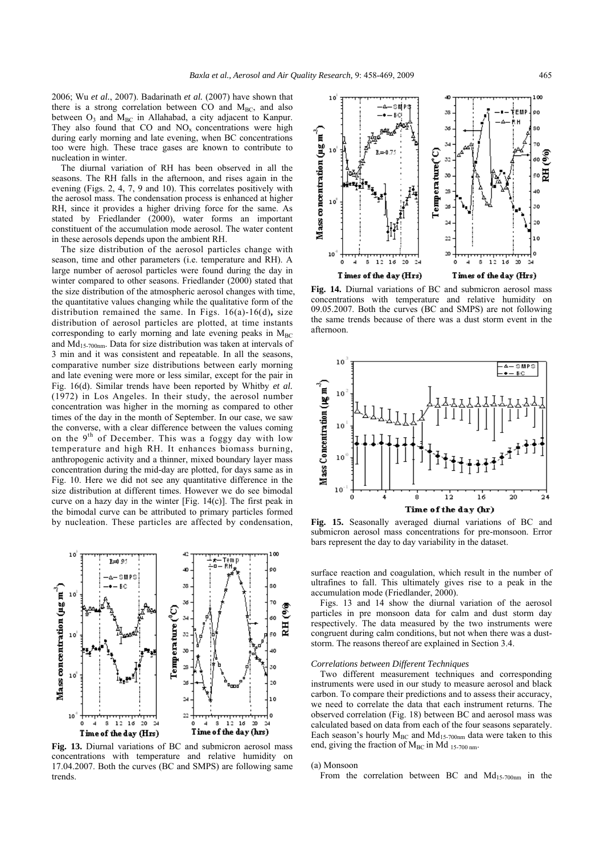2006; Wu *et al.*, 2007). Badarinath *et al.* (2007) have shown that there is a strong correlation between CO and  $M<sub>BC</sub>$ , and also between  $O_3$  and  $M_{BC}$  in Allahabad, a city adjacent to Kanpur. They also found that  $CO$  and  $NO<sub>x</sub>$  concentrations were high during early morning and late evening, when BC concentrations too were high. These trace gases are known to contribute to nucleation in winter.

The diurnal variation of RH has been observed in all the seasons. The RH falls in the afternoon, and rises again in the evening (Figs. 2, 4, 7, 9 and 10). This correlates positively with the aerosol mass. The condensation process is enhanced at higher RH, since it provides a higher driving force for the same. As stated by Friedlander (2000), water forms an important constituent of the accumulation mode aerosol. The water content in these aerosols depends upon the ambient RH.

The size distribution of the aerosol particles change with season, time and other parameters (i.e. temperature and RH). A large number of aerosol particles were found during the day in winter compared to other seasons. Friedlander (2000) stated that the size distribution of the atmospheric aerosol changes with time, the quantitative values changing while the qualitative form of the distribution remained the same. In Figs. 16(a)-16(d)**,** size distribution of aerosol particles are plotted, at time instants corresponding to early morning and late evening peaks in  $M<sub>BC</sub>$ and  $Md_{15-700nm}$ . Data for size distribution was taken at intervals of 3 min and it was consistent and repeatable. In all the seasons, comparative number size distributions between early morning and late evening were more or less similar, except for the pair in Fig. 16(d). Similar trends have been reported by Whitby *et al.* (1972) in Los Angeles. In their study, the aerosol number concentration was higher in the morning as compared to other times of the day in the month of September. In our case, we saw the converse, with a clear difference between the values coming on the  $9<sup>th</sup>$  of December. This was a foggy day with low temperature and high RH. It enhances biomass burning, anthropogenic activity and a thinner, mixed boundary layer mass concentration during the mid-day are plotted, for days same as in Fig. 10. Here we did not see any quantitative difference in the size distribution at different times. However we do see bimodal curve on a hazy day in the winter [Fig. 14(c)]. The first peak in the bimodal curve can be attributed to primary particles formed by nucleation. These particles are affected by condensation,



**Fig. 13.** Diurnal variations of BC and submicron aerosol mass concentrations with temperature and relative humidity on 17.04.2007. Both the curves (BC and SMPS) are following same trends.



**Fig. 14.** Diurnal variations of BC and submicron aerosol mass concentrations with temperature and relative humidity on 09.05.2007. Both the curves (BC and SMPS) are not following the same trends because of there was a dust storm event in the afternoon.



**Fig. 15.** Seasonally averaged diurnal variations of BC and submicron aerosol mass concentrations for pre-monsoon. Error bars represent the day to day variability in the dataset.

surface reaction and coagulation, which result in the number of ultrafines to fall. This ultimately gives rise to a peak in the accumulation mode (Friedlander, 2000).

Figs. 13 and 14 show the diurnal variation of the aerosol particles in pre monsoon data for calm and dust storm day respectively. The data measured by the two instruments were congruent during calm conditions, but not when there was a duststorm. The reasons thereof are explained in Section 3.4.

## *Correlations between Different Techniques*

Two different measurement techniques and corresponding instruments were used in our study to measure aerosol and black carbon. To compare their predictions and to assess their accuracy, we need to correlate the data that each instrument returns. The observed correlation (Fig. 18) between BC and aerosol mass was calculated based on data from each of the four seasons separately. Each season's hourly  $M_{BC}$  and  $Md_{15-700nm}$  data were taken to this end, giving the fraction of  $M<sub>BC</sub>$  in Md  $_{15-700 \text{ nm}}$ .

#### (a) Monsoon

From the correlation between BC and  $Md_{15-700nm}$  in the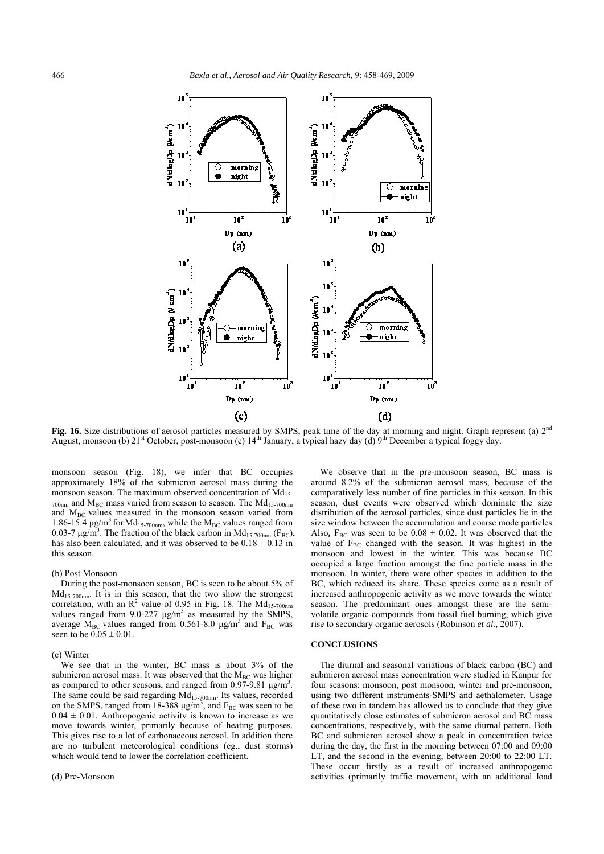

Fig. 16. Size distributions of aerosol particles measured by SMPS, peak time of the day at morning and night. Graph represent (a) 2<sup>nd</sup> August, monsoon (b)  $21^{st}$  October, post-monsoon (c)  $14^{th}$  January, a typical hazy day (d) 9<sup>th</sup> December a typical foggy day.

monsoon season (Fig. 18), we infer that BC occupies approximately 18% of the submicron aerosol mass during the monsoon season. The maximum observed concentration of  $Md<sub>15</sub>$  $_{700nm}$  and  $M_{BC}$  mass varied from season to season. The  $Md_{15-700nm}$ and  $M_{BC}$  values measured in the monsoon season varied from 1.86-15.4  $\mu$ g/m<sup>3</sup> for Md<sub>15-700nm</sub>, while the M<sub>BC</sub> values ranged from 0.03-7  $\mu$ g/m<sup>3</sup>. The fraction of the black carbon in Md<sub>15-700nm</sub> (F<sub>BC</sub>), has also been calculated, and it was observed to be  $0.18 \pm 0.13$  in this season.

#### (b) Post Monsoon

During the post-monsoon season, BC is seen to be about 5% of  $Md<sub>15-700nm</sub>$ . It is in this season, that the two show the strongest correlation, with an  $\mathbb{R}^2$  value of 0.95 in Fig. 18. The Md<sub>15-700nm</sub> values ranged from 9.0-227  $\mu$ g/m<sup>3</sup> as measured by the SMPS, average  $M_{BC}$  values ranged from 0.561-8.0  $\mu$ g/m<sup>3</sup> and F<sub>BC</sub> was seen to be  $0.05 \pm 0.01$ .

## (c) Winter

We see that in the winter, BC mass is about 3% of the submicron aerosol mass. It was observed that the  $M<sub>BC</sub>$  was higher as compared to other seasons, and ranged from  $0.97-9.81 \text{ µg/m}^3$ . The same could be said regarding Md<sub>15-700nm</sub>. Its values, recorded on the SMPS, ranged from 18-388  $\mu$ g/m<sup>3</sup>, and F<sub>BC</sub> was seen to be  $0.04 \pm 0.01$ . Anthropogenic activity is known to increase as we move towards winter, primarily because of heating purposes. This gives rise to a lot of carbonaceous aerosol. In addition there are no turbulent meteorological conditions (eg., dust storms) which would tend to lower the correlation coefficient.

## (d) Pre-Monsoon

We observe that in the pre-monsoon season, BC mass is around 8.2% of the submicron aerosol mass, because of the comparatively less number of fine particles in this season. In this season, dust events were observed which dominate the size distribution of the aerosol particles, since dust particles lie in the size window between the accumulation and coarse mode particles. Also,  $F_{BC}$  was seen to be  $0.08 \pm 0.02$ . It was observed that the value of  $F_{BC}$  changed with the season. It was highest in the monsoon and lowest in the winter. This was because BC occupied a large fraction amongst the fine particle mass in the monsoon. In winter, there were other species in addition to the BC, which reduced its share. These species come as a result of increased anthropogenic activity as we move towards the winter season. The predominant ones amongst these are the semivolatile organic compounds from fossil fuel burning, which give rise to secondary organic aerosols (Robinson *et al.*, 2007).

## **CONCLUSIONS**

The diurnal and seasonal variations of black carbon (BC) and submicron aerosol mass concentration were studied in Kanpur for four seasons: monsoon, post monsoon, winter and pre-monsoon, using two different instruments-SMPS and aethalometer. Usage of these two in tandem has allowed us to conclude that they give quantitatively close estimates of submicron aerosol and BC mass concentrations, respectively, with the same diurnal pattern. Both BC and submicron aerosol show a peak in concentration twice during the day, the first in the morning between 07:00 and 09:00 LT, and the second in the evening, between 20:00 to 22:00 LT. These occur firstly as a result of increased anthropogenic activities (primarily traffic movement, with an additional load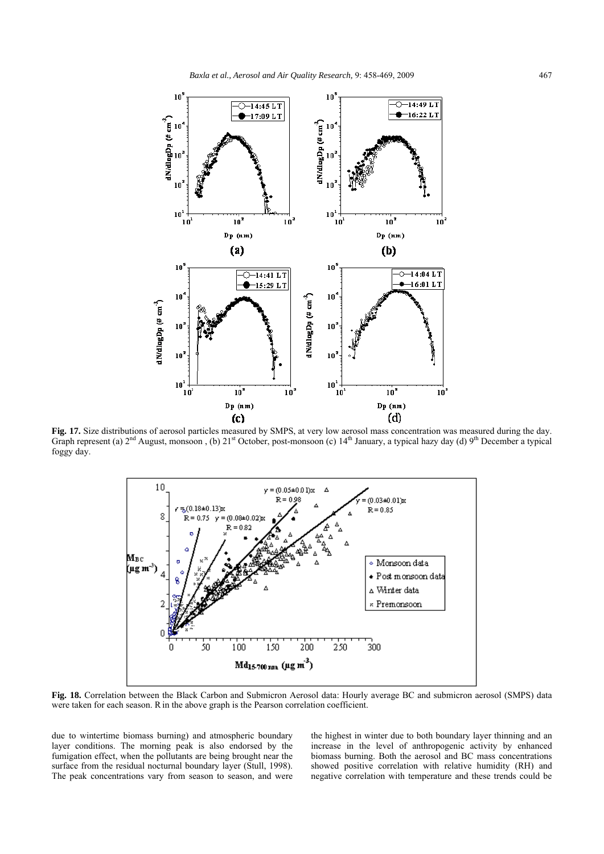

**Fig. 17.** Size distributions of aerosol particles measured by SMPS, at very low aerosol mass concentration was measured during the day. Graph represent (a)  $2<sup>nd</sup>$  August, monsoon , (b)  $21<sup>st</sup>$  October, post-monsoon (c)  $14<sup>th</sup>$  January, a typical hazy day (d)  $9<sup>th</sup>$  December a typical foggy day.



**Fig. 18.** Correlation between the Black Carbon and Submicron Aerosol data: Hourly average BC and submicron aerosol (SMPS) data were taken for each season. Rin the above graph is the Pearson correlation coefficient.

due to wintertime biomass burning) and atmospheric boundary layer conditions. The morning peak is also endorsed by the fumigation effect, when the pollutants are being brought near the surface from the residual nocturnal boundary layer (Stull, 1998). The peak concentrations vary from season to season, and were

the highest in winter due to both boundary layer thinning and an increase in the level of anthropogenic activity by enhanced biomass burning. Both the aerosol and BC mass concentrations showed positive correlation with relative humidity (RH) and negative correlation with temperature and these trends could be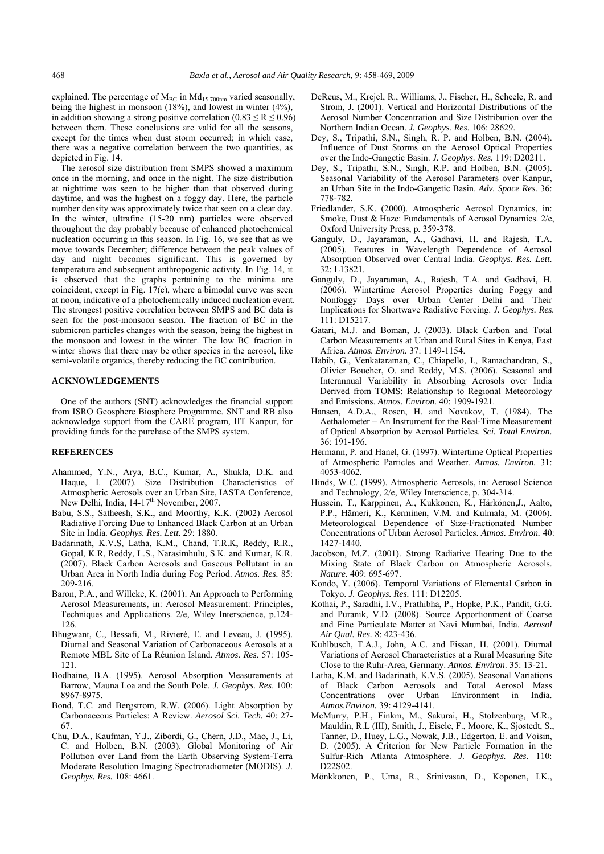explained. The percentage of  $M_{BC}$  in  $Md_{15-700nm}$  varied seasonally, being the highest in monsoon (18%), and lowest in winter (4%), in addition showing a strong positive correlation  $(0.83 \le R \le 0.96)$ between them. These conclusions are valid for all the seasons, except for the times when dust storm occurred; in which case, there was a negative correlation between the two quantities, as depicted in Fig. 14.

The aerosol size distribution from SMPS showed a maximum once in the morning, and once in the night. The size distribution at nighttime was seen to be higher than that observed during daytime, and was the highest on a foggy day. Here, the particle number density was approximately twice that seen on a clear day. In the winter, ultrafine (15-20 nm) particles were observed throughout the day probably because of enhanced photochemical nucleation occurring in this season. In Fig. 16, we see that as we move towards December; difference between the peak values of day and night becomes significant. This is governed by temperature and subsequent anthropogenic activity. In Fig. 14, it is observed that the graphs pertaining to the minima are coincident, except in Fig. 17(c), where a bimodal curve was seen at noon, indicative of a photochemically induced nucleation event. The strongest positive correlation between SMPS and BC data is seen for the post-monsoon season. The fraction of BC in the submicron particles changes with the season, being the highest in the monsoon and lowest in the winter. The low BC fraction in winter shows that there may be other species in the aerosol, like semi-volatile organics, thereby reducing the BC contribution.

## **ACKNOWLEDGEMENTS**

One of the authors (SNT) acknowledges the financial support from ISRO Geosphere Biosphere Programme. SNT and RB also acknowledge support from the CARE program, IIT Kanpur, for providing funds for the purchase of the SMPS system.

## **REFERENCES**

- Ahammed, Y.N., Arya, B.C., Kumar, A., Shukla, D.K. and Haque, I. (2007). Size Distribution Characteristics of Atmospheric Aerosols over an Urban Site, IASTA Conference, New Delhi, India, 14-17<sup>th</sup> November, 2007.
- Babu, S.S., Satheesh, S.K., and Moorthy, K.K. (2002) Aerosol Radiative Forcing Due to Enhanced Black Carbon at an Urban Site in India*. Geophys. Res. Lett*. 29: 1880.
- Badarinath, K.V.S, Latha, K.M., Chand, T.R.K, Reddy, R.R., Gopal, K.R, Reddy, L.S., Narasimhulu, S.K. and Kumar, K.R. (2007). Black Carbon Aerosols and Gaseous Pollutant in an Urban Area in North India during Fog Period. *Atmos. Res.* 85: 209-216.
- Baron, P.A., and Willeke, K. (2001). An Approach to Performing Aerosol Measurements, in: Aerosol Measurement: Principles, Techniques and Applications. 2/e, Wiley Interscience, p.124- 126.
- Bhugwant, C., Bessafi, M., Rivieré, E. and Leveau, J. (1995). Diurnal and Seasonal Variation of Carbonaceous Aerosols at a Remote MBL Site of La Réunion Island. *Atmos. Res*. 57: 105- 121.
- Bodhaine, B.A. (1995). Aerosol Absorption Measurements at Barrow, Mauna Loa and the South Pole. *J. Geophys. Res*. 100: 8967-8975.
- Bond, T.C. and Bergstrom, R.W. (2006). Light Absorption by Carbonaceous Particles: A Review. *Aerosol Sci. Tech.* 40: 27- 67.
- Chu, D.A., Kaufman, Y.J., Zibordi, G., Chern, J.D., Mao, J., Li, C. and Holben, B.N. (2003). Global Monitoring of Air Pollution over Land from the Earth Observing System-Terra Moderate Resolution Imaging Spectroradiometer (MODIS). *J. Geophys. Res.* 108: 4661.
- DeReus, M., Krejcl, R., Williams, J., Fischer, H., Scheele, R. and Strom, J. (2001). Vertical and Horizontal Distributions of the Aerosol Number Concentration and Size Distribution over the Northern Indian Ocean. *J. Geophys. Res*. 106: 28629.
- Dey, S., Tripathi, S.N., Singh, R. P. and Holben, B.N. (2004). Influence of Dust Storms on the Aerosol Optical Properties over the Indo-Gangetic Basin. *J. Geophys. Res.* 119: D20211.
- Dey, S., Tripathi, S.N., Singh, R.P. and Holben, B.N. (2005). Seasonal Variability of the Aerosol Parameters over Kanpur, an Urban Site in the Indo-Gangetic Basin. *Adv. Space Res.* 36: 778-782.
- Friedlander, S.K. (2000). Atmospheric Aerosol Dynamics, in: Smoke, Dust & Haze: Fundamentals of Aerosol Dynamics. 2/e, Oxford University Press, p. 359-378.
- Ganguly, D., Jayaraman, A., Gadhavi, H. and Rajesh, T.A. (2005). Features in Wavelength Dependence of Aerosol Absorption Observed over Central India. *Geophys. Res. Lett*. 32: L13821.
- Ganguly, D., Jayaraman, A., Rajesh, T.A. and Gadhavi, H. (2006). Wintertime Aerosol Properties during Foggy and Nonfoggy Days over Urban Center Delhi and Their Implications for Shortwave Radiative Forcing. *J. Geophys. Res.* 111: D15217.
- Gatari, M.J. and Boman, J. (2003). Black Carbon and Total Carbon Measurements at Urban and Rural Sites in Kenya, East Africa. *Atmos. Environ.* 37: 1149-1154.
- Habib, G., Venkataraman, C., Chiapello, I., Ramachandran, S., Olivier Boucher, O. and Reddy, M.S. (2006). Seasonal and Interannual Variability in Absorbing Aerosols over India Derived from TOMS: Relationship to Regional Meteorology and Emissions. *Atmos. Environ*. 40: 1909-1921.
- Hansen, A.D.A., Rosen, H. and Novakov, T. (1984). The Aethalometer – An Instrument for the Real-Time Measurement of Optical Absorption by Aerosol Particles. *Sci. Total Environ.*  $36.191 - 196$
- Hermann, P. and Hanel, G. (1997). Wintertime Optical Properties of Atmospheric Particles and Weather. *Atmos. Environ.* 31: 4053-4062.
- Hinds, W.C. (1999). Atmospheric Aerosols, in: Aerosol Science and Technology, 2/e, Wiley Interscience, p. 304-314.
- Hussein, T., Karppinen, A., Kukkonen, K., Härkönen,J., Aalto, P.P., Hämeri, K., Kerminen, V.M. and Kulmala, M. (2006). Meteorological Dependence of Size-Fractionated Number Concentrations of Urban Aerosol Particles. *Atmos. Environ.* 40: 1427-1440.
- Jacobson, M.Z. (2001). Strong Radiative Heating Due to the Mixing State of Black Carbon on Atmospheric Aerosols. *Nature.* 409: 695-697.
- Kondo, Y. (2006). Temporal Variations of Elemental Carbon in Tokyo. *J. Geophys. Res.* 111: D12205.
- Kothai, P., Saradhi, I.V., Prathibha, P., Hopke, P.K., Pandit, G.G. and Puranik, V.D. (2008). Source Apportionment of Coarse and Fine Particulate Matter at Navi Mumbai, India. *Aerosol Air Qual. Res.* 8: 423-436.
- Kuhlbusch, T.A.J., John, A.C. and Fissan, H. (2001). Diurnal Variations of Aerosol Characteristics at a Rural Measuring Site Close to the Ruhr-Area, Germany. *Atmos. Environ*. 35: 13-21.
- Latha, K.M. and Badarinath, K.V.S. (2005). Seasonal Variations of Black Carbon Aerosols and Total Aerosol Mass Concentrations over Urban Environment in India. *Atmos.Environ.* 39: 4129-4141.
- McMurry, P.H., Finkm, M., Sakurai, H., Stolzenburg, M.R., Mauldin, R.L (III), Smith, J., Eisele, F., Moore, K., Sjostedt, S., Tanner, D., Huey, L.G., Nowak, J.B., Edgerton, E. and Voisin, D. (2005). A Criterion for New Particle Formation in the Sulfur-Rich Atlanta Atmosphere. *J. Geophys. Res.* 110: D22S02.
- Mönkkonen, P., Uma, R., Srinivasan, D., Koponen, I.K.,